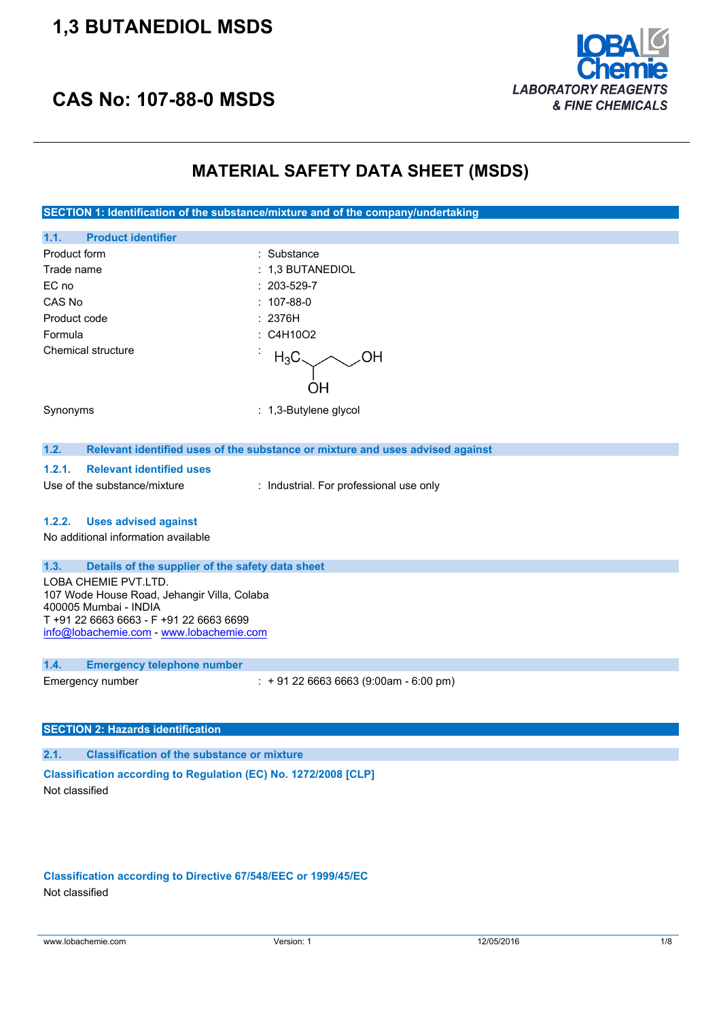## **1,3 BUTANEDIOL MSDS**





### **MATERIAL SAFETY DATA SHEET (MSDS)**

**SECTION 1: Identification of the substance/mixture and of the company/undertaking**

| 1.1.<br><b>Product identifier</b>                                                                                                                                                 |                                                                               |
|-----------------------------------------------------------------------------------------------------------------------------------------------------------------------------------|-------------------------------------------------------------------------------|
| Product form                                                                                                                                                                      | : Substance                                                                   |
| Trade name                                                                                                                                                                        | : 1,3 BUTANEDIOL                                                              |
| EC no                                                                                                                                                                             | 203-529-7                                                                     |
| CAS No                                                                                                                                                                            | $: 107-88-0$                                                                  |
| Product code                                                                                                                                                                      | : 2376H                                                                       |
| Formula                                                                                                                                                                           | C4H10O2                                                                       |
| Chemical structure                                                                                                                                                                | $H_3C$<br>ΟH                                                                  |
| Synonyms                                                                                                                                                                          | $: 1,3$ -Butylene glycol                                                      |
| 1.2.                                                                                                                                                                              | Relevant identified uses of the substance or mixture and uses advised against |
| <b>Relevant identified uses</b><br>1.2.1.                                                                                                                                         |                                                                               |
| Use of the substance/mixture                                                                                                                                                      | : Industrial. For professional use only                                       |
| <b>Uses advised against</b><br>1.2.2.<br>No additional information available                                                                                                      |                                                                               |
| 1.3.<br>Details of the supplier of the safety data sheet                                                                                                                          |                                                                               |
| LOBA CHEMIE PVT.LTD.<br>107 Wode House Road, Jehangir Villa, Colaba<br>400005 Mumbai - INDIA<br>T+91 22 6663 6663 - F+91 22 6663 6699<br>info@lobachemie.com - www.lobachemie.com |                                                                               |
| 1.4.<br><b>Emergency telephone number</b>                                                                                                                                         |                                                                               |
| Emergency number                                                                                                                                                                  | $: +912266636663(9:00am - 6:00 pm)$                                           |

### **SECTION 2: Hazards identification**

**2.1. Classification of the substance or mixture**

**Classification according to Regulation (EC) No. 1272/2008 [CLP]** Not classified

**Classification according to Directive 67/548/EEC or 1999/45/EC** Not classified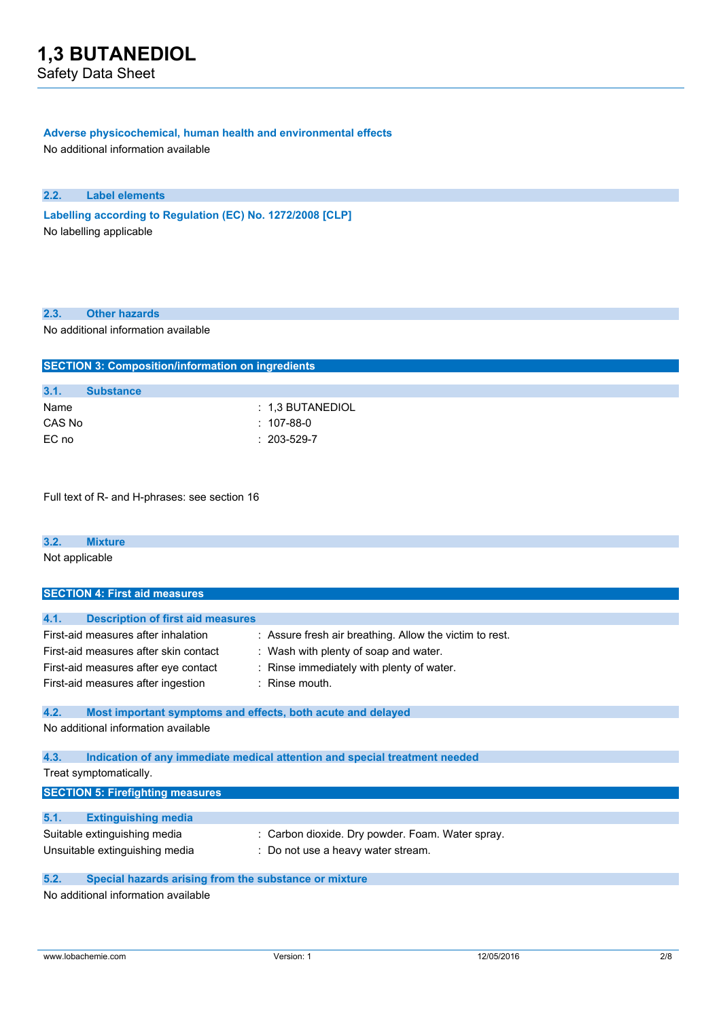### **Adverse physicochemical, human health and environmental effects**

No additional information available

### **2.2. Label elements**

**Labelling according** to Regulation (EC) No. 1272/2008 [CLP] No labelling applicable

### **2.3. Other hazards**

No additional information available

|        | <b>SECTION 3: Composition/information on ingredients</b> |                    |  |  |
|--------|----------------------------------------------------------|--------------------|--|--|
|        |                                                          |                    |  |  |
| 3.1.   | <b>Substance</b>                                         |                    |  |  |
| Name   |                                                          | $: 1.3$ BUTANEDIOL |  |  |
| CAS No |                                                          | : 107-88-0         |  |  |
| EC no  |                                                          | $: 203 - 529 - 7$  |  |  |

Full text of R- and H-phrases: see section 16

| 3.2.           | <b>Mixture</b> |  |  |  |
|----------------|----------------|--|--|--|
| Not applicable |                |  |  |  |

| <b>SECTION 4: First aid measures</b>                          |                                                                            |  |  |
|---------------------------------------------------------------|----------------------------------------------------------------------------|--|--|
|                                                               |                                                                            |  |  |
| 4.1.<br><b>Description of first aid measures</b>              |                                                                            |  |  |
| First-aid measures after inhalation                           | : Assure fresh air breathing. Allow the victim to rest.                    |  |  |
| First-aid measures after skin contact                         | : Wash with plenty of soap and water.                                      |  |  |
| First-aid measures after eye contact                          | : Rinse immediately with plenty of water.                                  |  |  |
| First-aid measures after ingestion                            | $:$ Rinse mouth.                                                           |  |  |
| 4.2.                                                          |                                                                            |  |  |
| Most important symptoms and effects, both acute and delayed   |                                                                            |  |  |
| No additional information available                           |                                                                            |  |  |
|                                                               |                                                                            |  |  |
| 4.3.                                                          | Indication of any immediate medical attention and special treatment needed |  |  |
| Treat symptomatically.                                        |                                                                            |  |  |
| <b>SECTION 5: Firefighting measures</b>                       |                                                                            |  |  |
|                                                               |                                                                            |  |  |
| 5.1.<br><b>Extinguishing media</b>                            |                                                                            |  |  |
| Suitable extinguishing media                                  | : Carbon dioxide. Dry powder. Foam. Water spray.                           |  |  |
| Unsuitable extinguishing media                                | : Do not use a heavy water stream.                                         |  |  |
| 5.2.<br>Special hazards arising from the substance or mixture |                                                                            |  |  |
| No additional information available                           |                                                                            |  |  |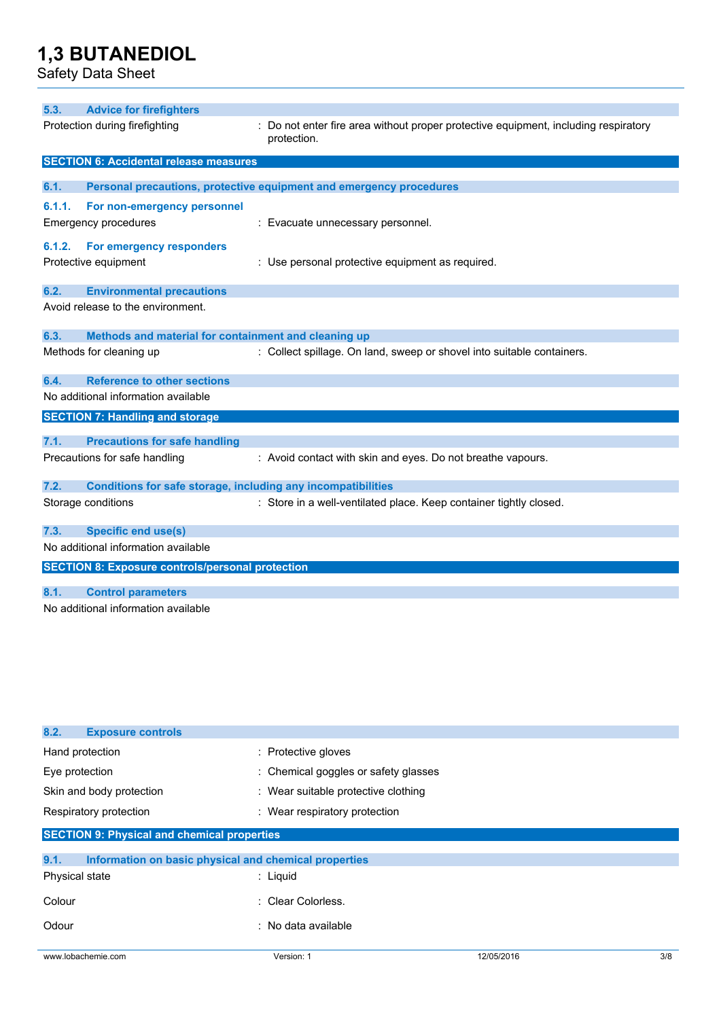Safety Data Sheet

| 5.3.   | <b>Advice for firefighters</b>                               |                                                                                                    |
|--------|--------------------------------------------------------------|----------------------------------------------------------------------------------------------------|
|        | Protection during firefighting                               | : Do not enter fire area without proper protective equipment, including respiratory<br>protection. |
|        | <b>SECTION 6: Accidental release measures</b>                |                                                                                                    |
| 6.1.   |                                                              | Personal precautions, protective equipment and emergency procedures                                |
|        |                                                              |                                                                                                    |
| 6.1.1. | For non-emergency personnel                                  |                                                                                                    |
|        | <b>Emergency procedures</b>                                  | : Evacuate unnecessary personnel.                                                                  |
| 6.1.2. | For emergency responders                                     |                                                                                                    |
|        | Protective equipment                                         | : Use personal protective equipment as required.                                                   |
| 6.2.   | <b>Environmental precautions</b>                             |                                                                                                    |
|        | Avoid release to the environment.                            |                                                                                                    |
| 6.3.   | Methods and material for containment and cleaning up         |                                                                                                    |
|        | Methods for cleaning up                                      | : Collect spillage. On land, sweep or shovel into suitable containers.                             |
| 6.4.   | <b>Reference to other sections</b>                           |                                                                                                    |
|        | No additional information available                          |                                                                                                    |
|        | <b>SECTION 7: Handling and storage</b>                       |                                                                                                    |
| 7.1.   | <b>Precautions for safe handling</b>                         |                                                                                                    |
|        | Precautions for safe handling                                | : Avoid contact with skin and eyes. Do not breathe vapours.                                        |
| 7.2.   | Conditions for safe storage, including any incompatibilities |                                                                                                    |
|        | Storage conditions                                           | : Store in a well-ventilated place. Keep container tightly closed.                                 |
| 7.3.   | <b>Specific end use(s)</b>                                   |                                                                                                    |
|        | No additional information available                          |                                                                                                    |
|        | <b>SECTION 8: Exposure controls/personal protection</b>      |                                                                                                    |
| 8.1.   | <b>Control parameters</b>                                    |                                                                                                    |
|        | No additional information available                          |                                                                                                    |

| <b>Exposure controls</b><br>8.2.                   |                                                       |            |     |
|----------------------------------------------------|-------------------------------------------------------|------------|-----|
| Hand protection                                    | : Protective gloves                                   |            |     |
| Eye protection                                     | : Chemical goggles or safety glasses                  |            |     |
| Skin and body protection                           | : Wear suitable protective clothing                   |            |     |
| Respiratory protection                             | : Wear respiratory protection                         |            |     |
| <b>SECTION 9: Physical and chemical properties</b> |                                                       |            |     |
| 9.1.                                               | Information on basic physical and chemical properties |            |     |
| Physical state                                     | $:$ Liquid                                            |            |     |
| Colour                                             | : Clear Colorless.                                    |            |     |
| Odour                                              | : No data available                                   |            |     |
| www.lobachemie.com                                 | Version: 1                                            | 12/05/2016 | 3/8 |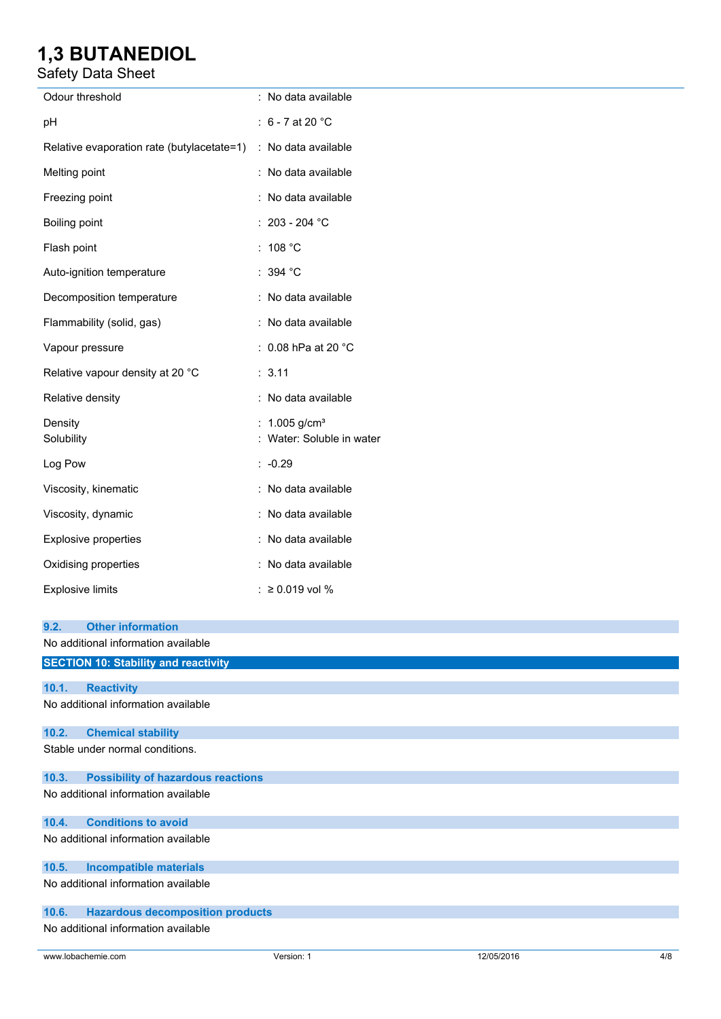### Safety Data Sheet

| Odour threshold                                                         | : No data available                           |
|-------------------------------------------------------------------------|-----------------------------------------------|
| pH                                                                      | : $6 - 7$ at 20 °C                            |
| Relative evaporation rate (butylacetate=1) : No data available          |                                               |
| Melting point                                                           | : No data available                           |
| Freezing point                                                          | : No data available                           |
| Boiling point                                                           | : 203 - 204 $^{\circ}$ C                      |
| Flash point                                                             | : $108 °C$                                    |
| Auto-ignition temperature                                               | : 394 °C                                      |
| Decomposition temperature                                               | : No data available                           |
| Flammability (solid, gas)                                               | : No data available                           |
| Vapour pressure                                                         | : 0.08 hPa at 20 °C                           |
| Relative vapour density at 20 °C                                        | : 3.11                                        |
| Relative density                                                        | : No data available                           |
| Density<br>Solubility                                                   | 1.005 $g/cm^{3}$<br>: Water: Soluble in water |
| Log Pow                                                                 | $: -0.29$                                     |
| Viscosity, kinematic                                                    | : No data available                           |
| Viscosity, dynamic                                                      | : No data available                           |
| Explosive properties                                                    | : No data available                           |
| Oxidising properties                                                    | : No data available                           |
| <b>Explosive limits</b>                                                 | : ≥ 0.019 vol %                               |
| <b>Other information</b><br>9.2.<br>No additional information available |                                               |
| <b>SECTION 10: Stability and reactivity</b>                             |                                               |
| 10.1.<br><b>Reactivity</b><br>No additional information available       |                                               |
| 10.2.<br><b>Chemical stability</b>                                      |                                               |
| Stable under normal conditions.                                         |                                               |
| 10.3.<br><b>Possibility of hazardous reactions</b>                      |                                               |
| No additional information available                                     |                                               |
| <b>Conditions to avoid</b><br>10.4.                                     |                                               |
| No additional information available                                     |                                               |

**10.5. Incompatible materials**

No additional information available

### **10.6. Hazardous decomposition products**

No additional information available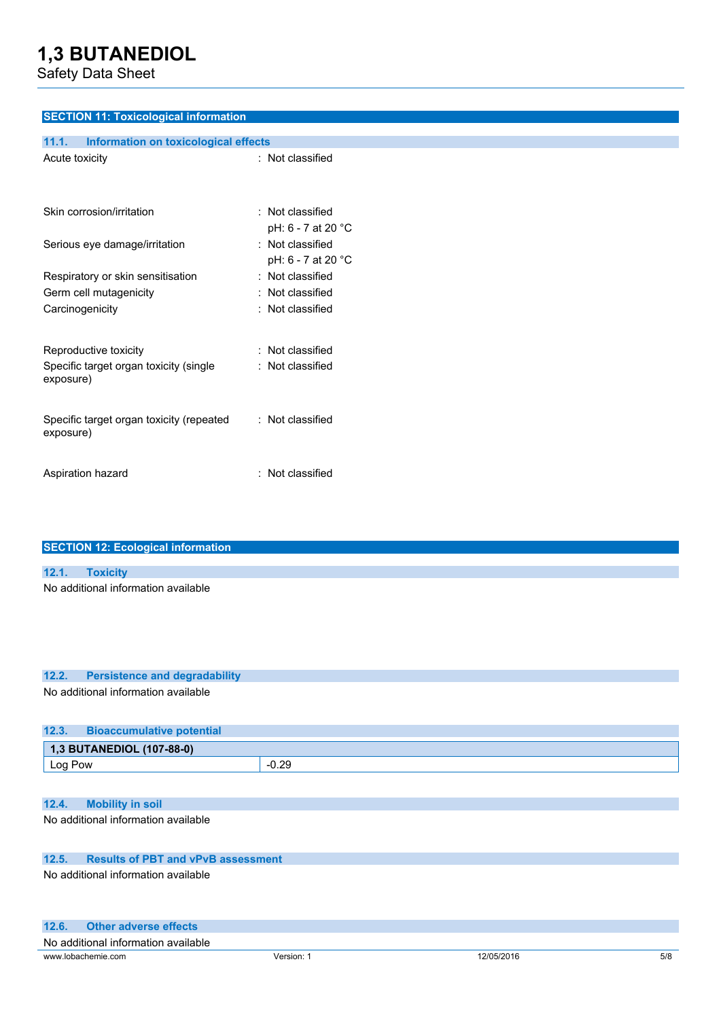Safety Data Sheet

### **SECTION 11: Toxicological information 11.1. Information on toxicological effects** Acute toxicity : Not classified Skin corrosion/irritation : Not classified pH: 6 - 7 at 20 °C Serious eye damage/irritation : Not classified pH: 6 - 7 at 20 °C Respiratory or skin sensitisation : Not classified Germ cell mutagenicity **in the CE and CE and CE and CE and CE and CE and CE and CE and CE and CE and CE and CE and CE and CE and CE and CE and CE and CE and CE and CE and CE and CE and CE and CE and CE and CE and CE and CE** Carcinogenicity **Carcinogenicity** : Not classified Reproductive toxicity **in the COV** Reproductive toxicity **in the COV** : Not classified Specific target organ toxicity (single exposure) : Not classified Specific target organ toxicity (repeated exposure) : Not classified Aspiration hazard : Not classified

| <b>SECTION 12: Ecological information</b> |  |  |  |
|-------------------------------------------|--|--|--|
|                                           |  |  |  |
|                                           |  |  |  |
| 12.1. Toxicity                            |  |  |  |
| No additional information available       |  |  |  |
|                                           |  |  |  |
|                                           |  |  |  |
|                                           |  |  |  |
|                                           |  |  |  |

### **12.2. Persistence and degradability**

No additional information available

| 12.3.   | <b>Bioaccumulative potential</b> |         |
|---------|----------------------------------|---------|
|         | 1,3 BUTANEDIOL (107-88-0)        |         |
| Log Pow |                                  | $-0.29$ |
|         |                                  |         |

### **12.4. Mobility in soil**

No additional information available

### **12.5. Results of PBT and vPvB assessment**

No additional information available

| 12.6.<br>Other adverse effects      |            |            |     |
|-------------------------------------|------------|------------|-----|
| No additional information available |            |            |     |
| www.lobachemie.com                  | Version: 1 | 12/05/2016 | 5/8 |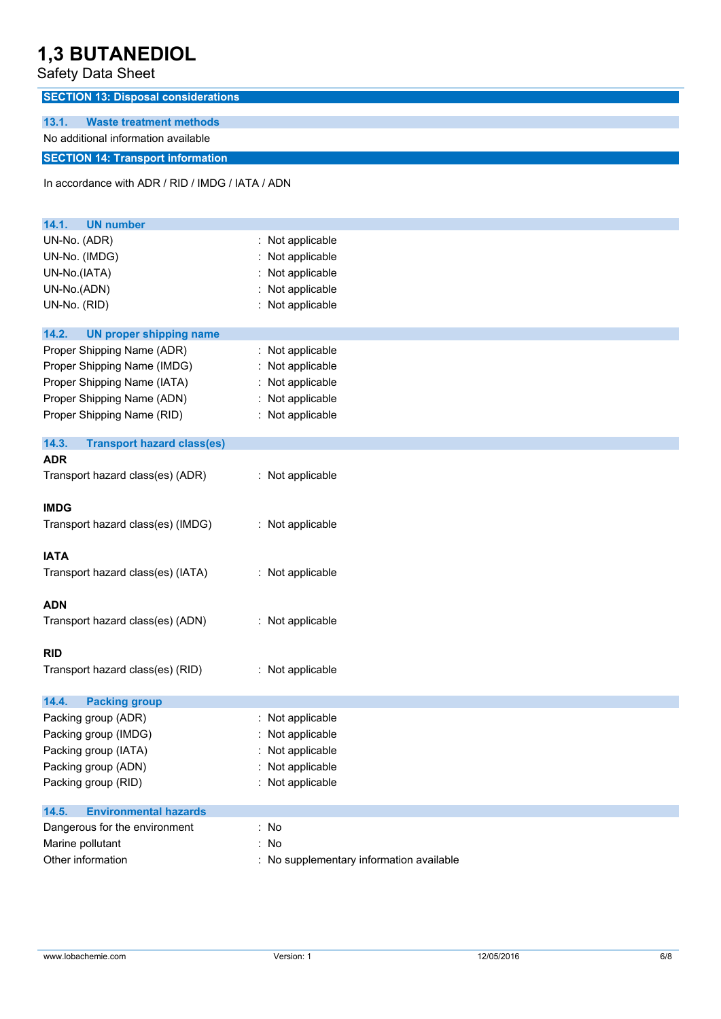Safety Data Sheet

**SECTION 13: Disposal considerations**

**13.1. Waste treatment methods** No additional information available

**SECTION 14: Transport information**

In accordance with ADR / RID / IMDG / IATA / ADN

| <b>UN number</b><br>14.1.                  |                                        |
|--------------------------------------------|----------------------------------------|
| UN-No. (ADR)                               | Not applicable                         |
| UN-No. (IMDG)                              | Not applicable                         |
| UN-No.(IATA)                               | Not applicable                         |
| UN-No.(ADN)                                | Not applicable                         |
| UN-No. (RID)                               | Not applicable                         |
| 14.2.<br><b>UN proper shipping name</b>    |                                        |
| Proper Shipping Name (ADR)                 | : Not applicable                       |
| Proper Shipping Name (IMDG)                | : Not applicable                       |
| Proper Shipping Name (IATA)                | Not applicable                         |
| Proper Shipping Name (ADN)                 | : Not applicable                       |
| Proper Shipping Name (RID)                 | : Not applicable                       |
| 14.3.<br><b>Transport hazard class(es)</b> |                                        |
| <b>ADR</b>                                 |                                        |
| Transport hazard class(es) (ADR)           | : Not applicable                       |
| <b>IMDG</b>                                |                                        |
| Transport hazard class(es) (IMDG)          | : Not applicable                       |
| <b>IATA</b>                                |                                        |
| Transport hazard class(es) (IATA)          | : Not applicable                       |
| <b>ADN</b>                                 |                                        |
| Transport hazard class(es) (ADN)           | : Not applicable                       |
| <b>RID</b>                                 |                                        |
| Transport hazard class(es) (RID)           | : Not applicable                       |
| <b>Packing group</b><br>14.4.              |                                        |
| Packing group (ADR)                        | : Not applicable                       |
| Packing group (IMDG)                       | Not applicable                         |
| Packing group (IATA)                       | : Not applicable                       |
| Packing group (ADN)                        | Not applicable                         |
| Packing group (RID)                        | : Not applicable                       |
| 14.5.<br><b>Environmental hazards</b>      |                                        |
| Dangerous for the environment              | : No                                   |
| Marine pollutant                           | No                                     |
| Other information                          | No supplementary information available |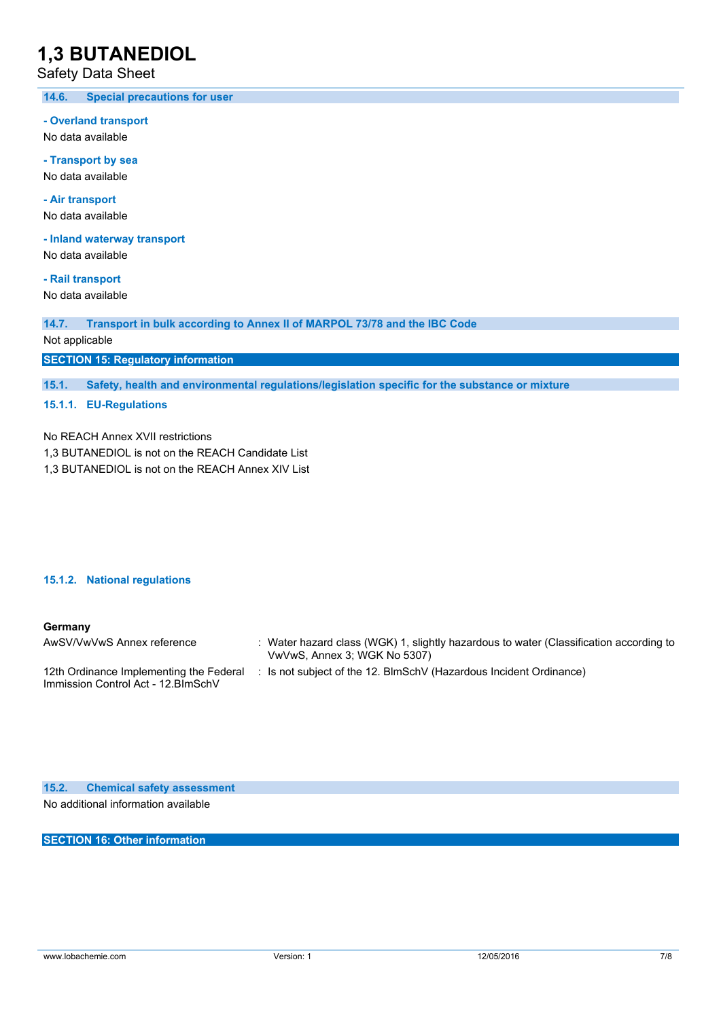Safety Data Sheet

**14.6. Special precautions for user**

**- Overland transport**

No data available

**- Transport by sea** No data available

**- Air transport** No data available

**- Inland waterway transport**

No data available

**- Rail transport** No data available

**14.7. Transport in bulk according to Annex II of MARPOL 73/78 and the IBC Code**

Not applicable

**SECTION 15: Regulatory information**

**15.1. Safety, health and environmental regulations/legislation specific for the substance or mixture**

#### **15.1.1. EU-Regulations**

No REACH Annex XVII restrictions

1,3 BUTANEDIOL is not on the REACH Candidate List

1,3 BUTANEDIOL is not on the REACH Annex XIV List

#### **15.1.2. National regulations**

#### **Germany**

| AwSV/VwVwS Annex reference                                                     | : Water hazard class (WGK) 1, slightly hazardous to water (Classification according to<br>VwVwS, Annex 3; WGK No 5307) |
|--------------------------------------------------------------------------------|------------------------------------------------------------------------------------------------------------------------|
| 12th Ordinance Implementing the Federal<br>Immission Control Act - 12. BlmSchV | : Is not subject of the 12. BlmSchV (Hazardous Incident Ordinance)                                                     |

**15.2. Chemical safety assessment** No additional information available

**SECTION 16: Other information**